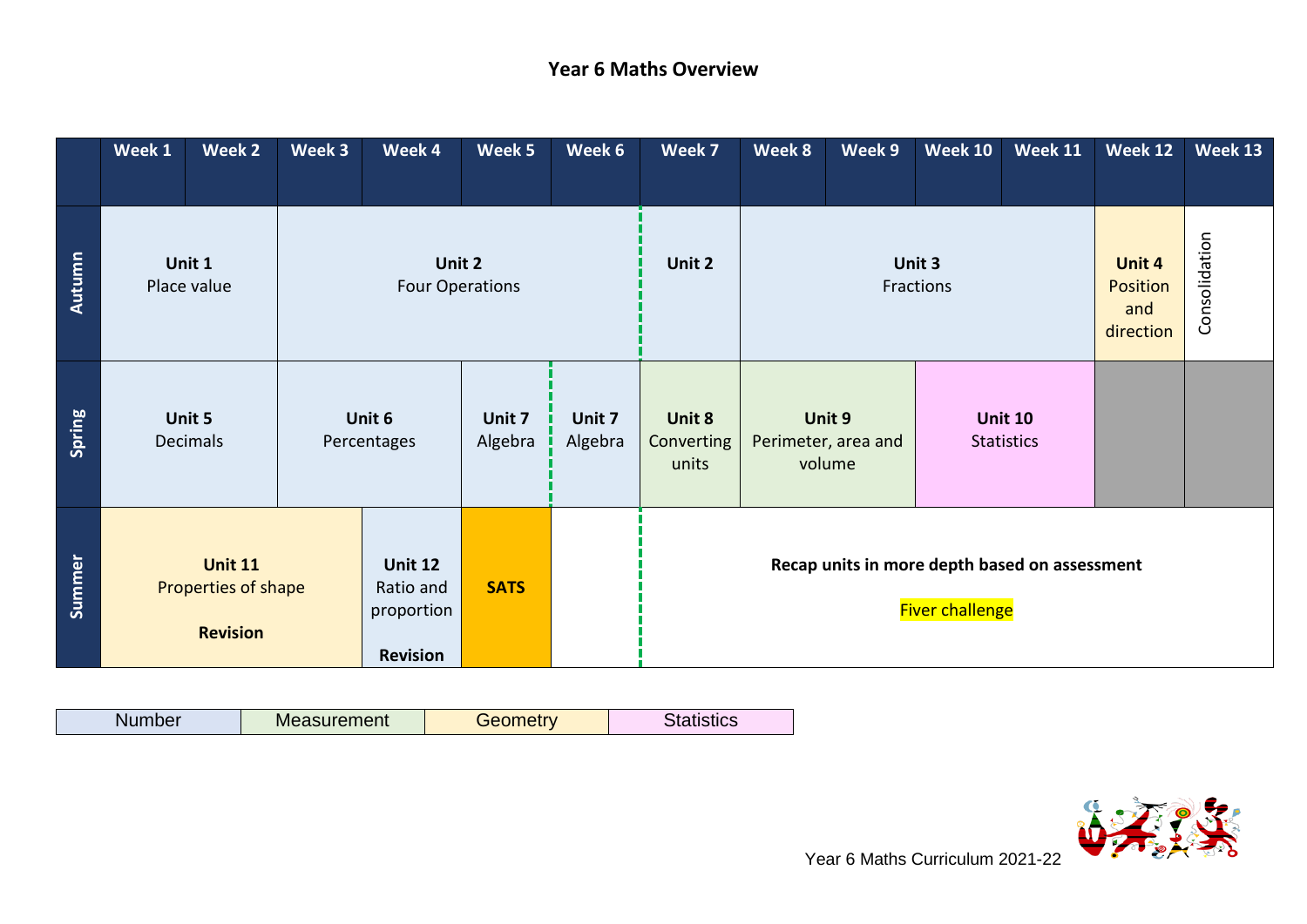## **Year 6 Maths Overview**

|        | Week 1 | Week 2                                                   | Week 3 | Week 4                                                       | Week 5            | Week 6            | Week 7                                                                  | Week 8 | Week 9                                  | <b>Week 10</b>      | <b>Week 11</b>                      | Week 12                                       | Week 13       |
|--------|--------|----------------------------------------------------------|--------|--------------------------------------------------------------|-------------------|-------------------|-------------------------------------------------------------------------|--------|-----------------------------------------|---------------------|-------------------------------------|-----------------------------------------------|---------------|
| Autumn |        | Unit 1<br>Place value                                    |        | Unit 2<br><b>Four Operations</b>                             |                   |                   | Unit 2                                                                  |        |                                         | Unit 3<br>Fractions |                                     | <b>Unit 4</b><br>Position<br>and<br>direction | Consolidation |
| Spring |        | Unit 5<br><b>Decimals</b>                                |        | Unit 6<br>Percentages                                        | Unit 7<br>Algebra | Unit 7<br>Algebra | Unit 8<br>Converting<br>units                                           |        | Unit 9<br>Perimeter, area and<br>volume |                     | <b>Unit 10</b><br><b>Statistics</b> |                                               |               |
| Summer |        | <b>Unit 11</b><br>Properties of shape<br><b>Revision</b> |        | <b>Unit 12</b><br>Ratio and<br>proportion<br><b>Revision</b> | <b>SATS</b>       |                   | Recap units in more depth based on assessment<br><b>Fiver challenge</b> |        |                                         |                     |                                     |                                               |               |

| Alumber | <b>Measurement</b> | <b>Gometr</b> v<br>920 L | Statistics |
|---------|--------------------|--------------------------|------------|

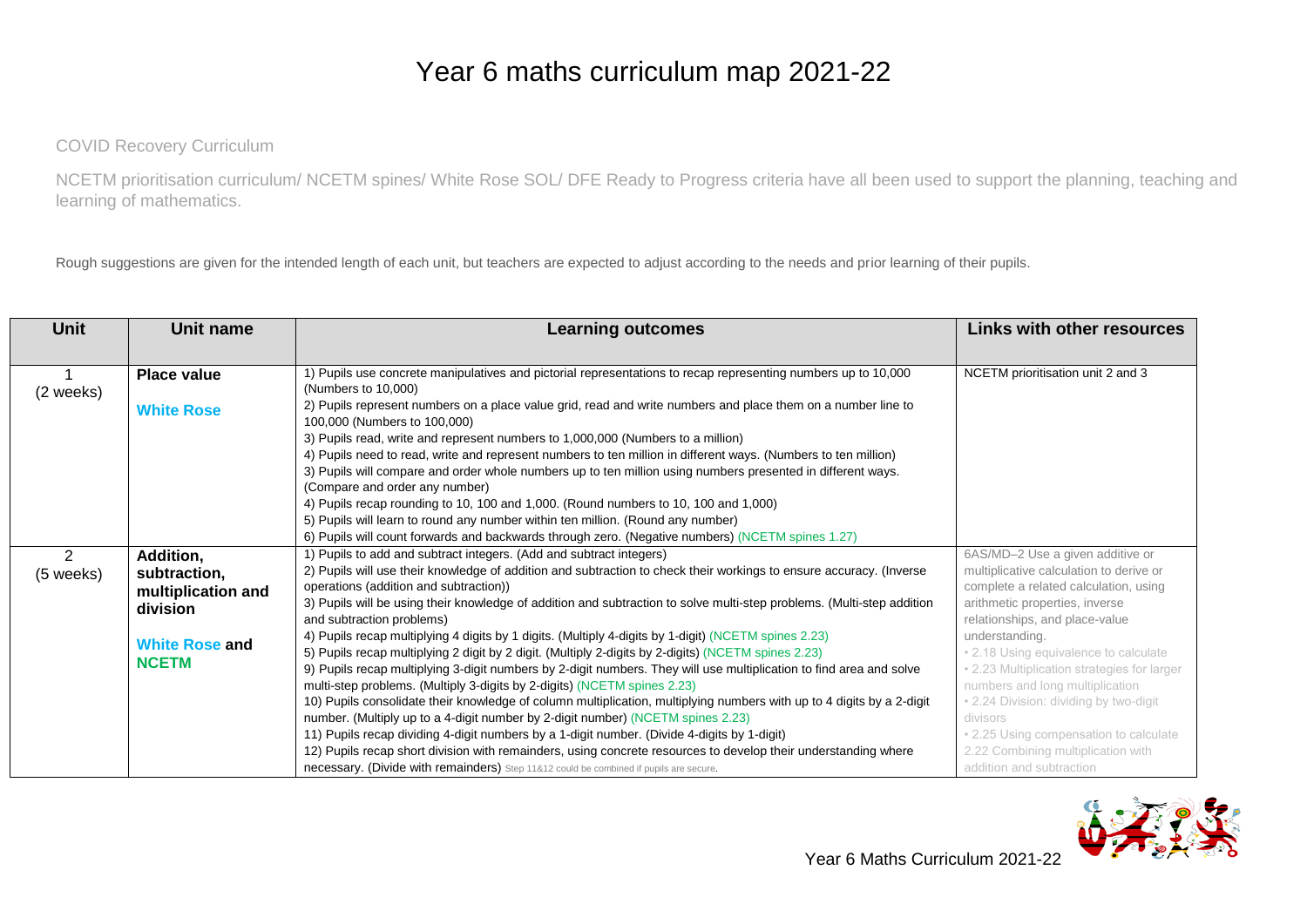## Year 6 maths curriculum map 2021-22

COVID Recovery Curriculum

NCETM prioritisation curriculum/ NCETM spines/ White Rose SOL/ DFE Ready to Progress criteria have all been used to support the planning, teaching and learning of mathematics.

Rough suggestions are given for the intended length of each unit, but teachers are expected to adjust according to the needs and prior learning of their pupils.

| <b>Unit</b> | Unit name             | <b>Learning outcomes</b>                                                                                               | Links with other resources                  |
|-------------|-----------------------|------------------------------------------------------------------------------------------------------------------------|---------------------------------------------|
|             |                       |                                                                                                                        |                                             |
|             | <b>Place value</b>    | 1) Pupils use concrete manipulatives and pictorial representations to recap representing numbers up to 10,000          | NCETM prioritisation unit 2 and 3           |
| (2 weeks)   |                       | (Numbers to 10,000)                                                                                                    |                                             |
|             | <b>White Rose</b>     | 2) Pupils represent numbers on a place value grid, read and write numbers and place them on a number line to           |                                             |
|             |                       | 100,000 (Numbers to 100,000)                                                                                           |                                             |
|             |                       | 3) Pupils read, write and represent numbers to 1,000,000 (Numbers to a million)                                        |                                             |
|             |                       | 4) Pupils need to read, write and represent numbers to ten million in different ways. (Numbers to ten million)         |                                             |
|             |                       | 3) Pupils will compare and order whole numbers up to ten million using numbers presented in different ways.            |                                             |
|             |                       | (Compare and order any number)                                                                                         |                                             |
|             |                       | 4) Pupils recap rounding to 10, 100 and 1,000. (Round numbers to 10, 100 and 1,000)                                    |                                             |
|             |                       | 5) Pupils will learn to round any number within ten million. (Round any number)                                        |                                             |
|             |                       | 6) Pupils will count forwards and backwards through zero. (Negative numbers) (NCETM spines 1.27)                       |                                             |
| 2           | Addition,             | 1) Pupils to add and subtract integers. (Add and subtract integers)                                                    | 6AS/MD-2 Use a given additive or            |
| (5 weeks)   | subtraction,          | 2) Pupils will use their knowledge of addition and subtraction to check their workings to ensure accuracy. (Inverse    | multiplicative calculation to derive or     |
|             | multiplication and    | operations (addition and subtraction))                                                                                 | complete a related calculation, using       |
|             | division              | 3) Pupils will be using their knowledge of addition and subtraction to solve multi-step problems. (Multi-step addition | arithmetic properties, inverse              |
|             |                       | and subtraction problems)                                                                                              | relationships, and place-value              |
|             | <b>White Rose and</b> | 4) Pupils recap multiplying 4 digits by 1 digits. (Multiply 4-digits by 1-digit) (NCETM spines 2.23)                   | understanding.                              |
|             | <b>NCETM</b>          | 5) Pupils recap multiplying 2 digit by 2 digit. (Multiply 2-digits by 2-digits) (NCETM spines 2.23)                    | • 2.18 Using equivalence to calculate       |
|             |                       | 9) Pupils recap multiplying 3-digit numbers by 2-digit numbers. They will use multiplication to find area and solve    | • 2.23 Multiplication strategies for larger |
|             |                       | multi-step problems. (Multiply 3-digits by 2-digits) (NCETM spines 2.23)                                               | numbers and long multiplication             |
|             |                       | 10) Pupils consolidate their knowledge of column multiplication, multiplying numbers with up to 4 digits by a 2-digit  | . 2.24 Division: dividing by two-digit      |
|             |                       | number. (Multiply up to a 4-digit number by 2-digit number) (NCETM spines 2.23)                                        | divisors                                    |
|             |                       | 11) Pupils recap dividing 4-digit numbers by a 1-digit number. (Divide 4-digits by 1-digit)                            | • 2.25 Using compensation to calculate      |
|             |                       | 12) Pupils recap short division with remainders, using concrete resources to develop their understanding where         | 2.22 Combining multiplication with          |
|             |                       | necessary. (Divide with remainders) Step 11&12 could be combined if pupils are secure.                                 | addition and subtraction                    |

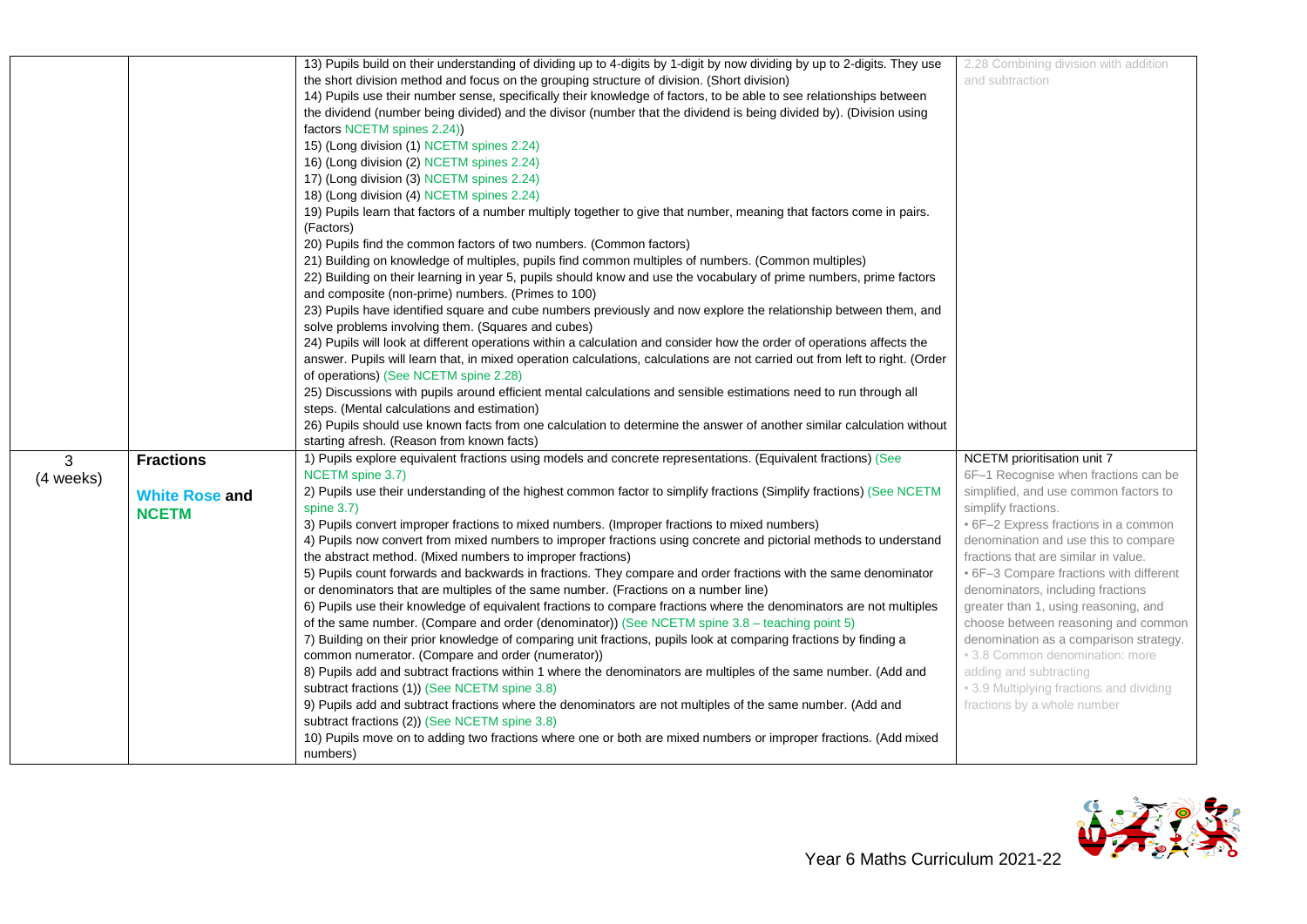|           |                       | 13) Pupils build on their understanding of dividing up to 4-digits by 1-digit by now dividing by up to 2-digits. They use    | 2.28 Combining division with addition    |
|-----------|-----------------------|------------------------------------------------------------------------------------------------------------------------------|------------------------------------------|
|           |                       | the short division method and focus on the grouping structure of division. (Short division)                                  | and subtraction                          |
|           |                       | 14) Pupils use their number sense, specifically their knowledge of factors, to be able to see relationships between          |                                          |
|           |                       | the dividend (number being divided) and the divisor (number that the dividend is being divided by). (Division using          |                                          |
|           |                       | factors NCETM spines 2.24)                                                                                                   |                                          |
|           |                       | 15) (Long division (1) NCETM spines 2.24)                                                                                    |                                          |
|           |                       | 16) (Long division (2) NCETM spines 2.24)                                                                                    |                                          |
|           |                       | 17) (Long division (3) NCETM spines 2.24)                                                                                    |                                          |
|           |                       | 18) (Long division (4) NCETM spines 2.24)                                                                                    |                                          |
|           |                       | 19) Pupils learn that factors of a number multiply together to give that number, meaning that factors come in pairs.         |                                          |
|           |                       | (Factors)                                                                                                                    |                                          |
|           |                       | 20) Pupils find the common factors of two numbers. (Common factors)                                                          |                                          |
|           |                       | 21) Building on knowledge of multiples, pupils find common multiples of numbers. (Common multiples)                          |                                          |
|           |                       | 22) Building on their learning in year 5, pupils should know and use the vocabulary of prime numbers, prime factors          |                                          |
|           |                       | and composite (non-prime) numbers. (Primes to 100)                                                                           |                                          |
|           |                       | 23) Pupils have identified square and cube numbers previously and now explore the relationship between them, and             |                                          |
|           |                       | solve problems involving them. (Squares and cubes)                                                                           |                                          |
|           |                       | 24) Pupils will look at different operations within a calculation and consider how the order of operations affects the       |                                          |
|           |                       | answer. Pupils will learn that, in mixed operation calculations, calculations are not carried out from left to right. (Order |                                          |
|           |                       | of operations) (See NCETM spine 2.28)                                                                                        |                                          |
|           |                       | 25) Discussions with pupils around efficient mental calculations and sensible estimations need to run through all            |                                          |
|           |                       | steps. (Mental calculations and estimation)                                                                                  |                                          |
|           |                       | 26) Pupils should use known facts from one calculation to determine the answer of another similar calculation without        |                                          |
|           |                       | starting afresh. (Reason from known facts)                                                                                   |                                          |
| 3         | <b>Fractions</b>      | 1) Pupils explore equivalent fractions using models and concrete representations. (Equivalent fractions) (See                | NCETM prioritisation unit 7              |
| (4 weeks) |                       | NCETM spine 3.7)                                                                                                             | 6F-1 Recognise when fractions can be     |
|           | <b>White Rose and</b> | 2) Pupils use their understanding of the highest common factor to simplify fractions (Simplify fractions) (See NCETM         | simplified, and use common factors to    |
|           | <b>NCETM</b>          | spine $3.7$ )                                                                                                                | simplify fractions.                      |
|           |                       | 3) Pupils convert improper fractions to mixed numbers. (Improper fractions to mixed numbers)                                 | • 6F-2 Express fractions in a common     |
|           |                       | 4) Pupils now convert from mixed numbers to improper fractions using concrete and pictorial methods to understand            | denomination and use this to compare     |
|           |                       | the abstract method. (Mixed numbers to improper fractions)                                                                   | fractions that are similar in value.     |
|           |                       | 5) Pupils count forwards and backwards in fractions. They compare and order fractions with the same denominator              | • 6F-3 Compare fractions with different  |
|           |                       | or denominators that are multiples of the same number. (Fractions on a number line)                                          | denominators, including fractions        |
|           |                       | 6) Pupils use their knowledge of equivalent fractions to compare fractions where the denominators are not multiples          | greater than 1, using reasoning, and     |
|           |                       | of the same number. (Compare and order (denominator)) (See NCETM spine 3.8 - teaching point 5)                               | choose between reasoning and common      |
|           |                       | 7) Building on their prior knowledge of comparing unit fractions, pupils look at comparing fractions by finding a            | denomination as a comparison strategy.   |
|           |                       | common numerator. (Compare and order (numerator))                                                                            | • 3.8 Common denomination: more          |
|           |                       | 8) Pupils add and subtract fractions within 1 where the denominators are multiples of the same number. (Add and              | adding and subtracting                   |
|           |                       | subtract fractions (1)) (See NCETM spine 3.8)                                                                                | • 3.9 Multiplying fractions and dividing |
|           |                       | 9) Pupils add and subtract fractions where the denominators are not multiples of the same number. (Add and                   | fractions by a whole number              |
|           |                       | subtract fractions (2)) (See NCETM spine 3.8)                                                                                |                                          |
|           |                       | 10) Pupils move on to adding two fractions where one or both are mixed numbers or improper fractions. (Add mixed             |                                          |
|           |                       | numbers)                                                                                                                     |                                          |

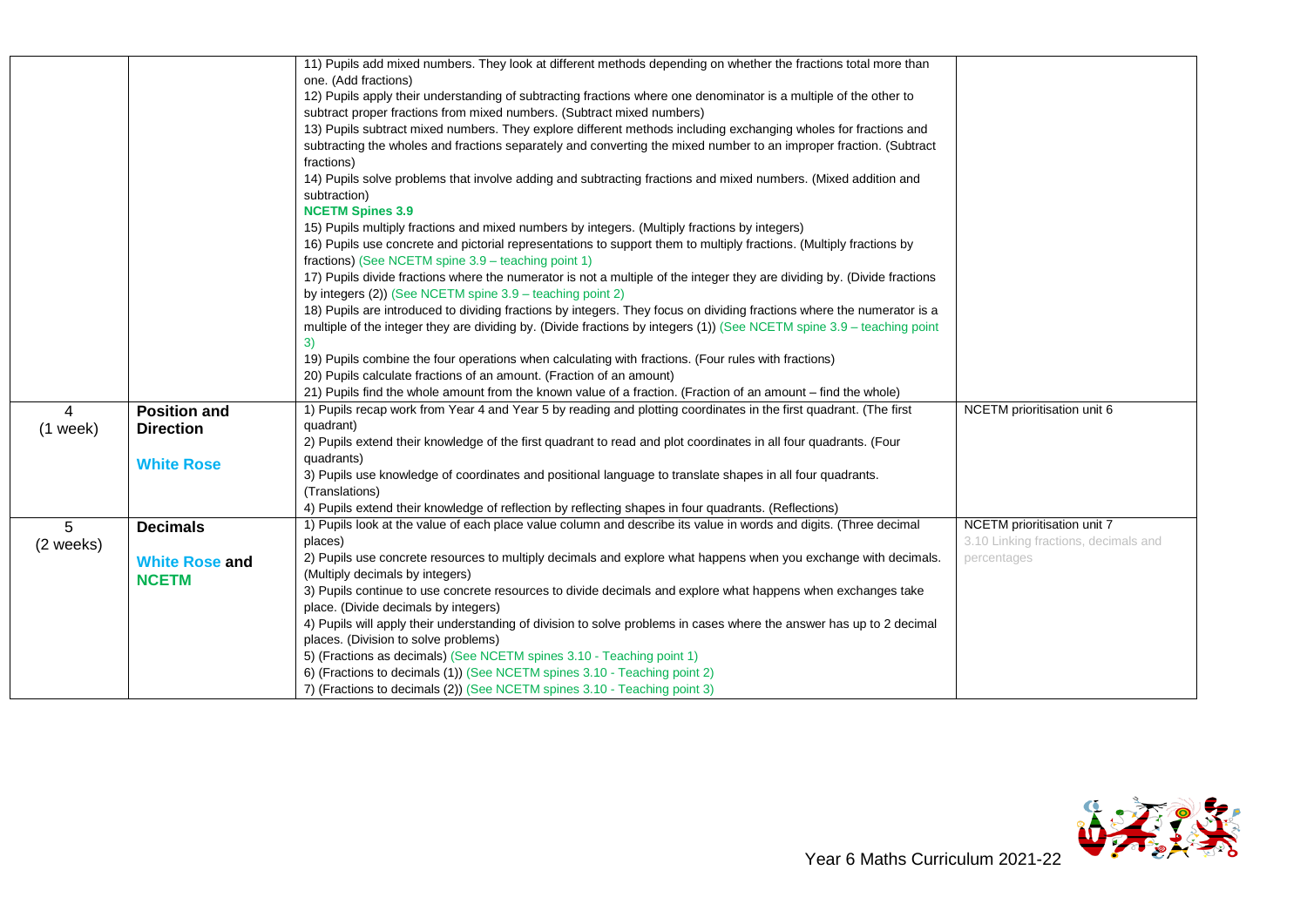|            |                       | 11) Pupils add mixed numbers. They look at different methods depending on whether the fractions total more than          |                                      |
|------------|-----------------------|--------------------------------------------------------------------------------------------------------------------------|--------------------------------------|
|            |                       | one. (Add fractions)                                                                                                     |                                      |
|            |                       | 12) Pupils apply their understanding of subtracting fractions where one denominator is a multiple of the other to        |                                      |
|            |                       | subtract proper fractions from mixed numbers. (Subtract mixed numbers)                                                   |                                      |
|            |                       | 13) Pupils subtract mixed numbers. They explore different methods including exchanging wholes for fractions and          |                                      |
|            |                       | subtracting the wholes and fractions separately and converting the mixed number to an improper fraction. (Subtract       |                                      |
|            |                       | fractions)                                                                                                               |                                      |
|            |                       | 14) Pupils solve problems that involve adding and subtracting fractions and mixed numbers. (Mixed addition and           |                                      |
|            |                       | subtraction)                                                                                                             |                                      |
|            |                       | <b>NCETM Spines 3.9</b>                                                                                                  |                                      |
|            |                       | 15) Pupils multiply fractions and mixed numbers by integers. (Multiply fractions by integers)                            |                                      |
|            |                       | 16) Pupils use concrete and pictorial representations to support them to multiply fractions. (Multiply fractions by      |                                      |
|            |                       | fractions) (See NCETM spine 3.9 – teaching point 1)                                                                      |                                      |
|            |                       | 17) Pupils divide fractions where the numerator is not a multiple of the integer they are dividing by. (Divide fractions |                                      |
|            |                       | by integers (2)) (See NCETM spine 3.9 - teaching point 2)                                                                |                                      |
|            |                       | 18) Pupils are introduced to dividing fractions by integers. They focus on dividing fractions where the numerator is a   |                                      |
|            |                       | multiple of the integer they are dividing by. (Divide fractions by integers (1)) (See NCETM spine 3.9 – teaching point   |                                      |
|            |                       | 3)                                                                                                                       |                                      |
|            |                       | 19) Pupils combine the four operations when calculating with fractions. (Four rules with fractions)                      |                                      |
|            |                       | 20) Pupils calculate fractions of an amount. (Fraction of an amount)                                                     |                                      |
|            |                       | 21) Pupils find the whole amount from the known value of a fraction. (Fraction of an amount – find the whole)            |                                      |
| 4          | <b>Position and</b>   | 1) Pupils recap work from Year 4 and Year 5 by reading and plotting coordinates in the first quadrant. (The first        | NCETM prioritisation unit 6          |
| $(1$ week) | <b>Direction</b>      | quadrant)                                                                                                                |                                      |
|            |                       | 2) Pupils extend their knowledge of the first quadrant to read and plot coordinates in all four quadrants. (Four         |                                      |
|            | <b>White Rose</b>     | quadrants)                                                                                                               |                                      |
|            |                       | 3) Pupils use knowledge of coordinates and positional language to translate shapes in all four quadrants.                |                                      |
|            |                       | (Translations)                                                                                                           |                                      |
|            |                       | 4) Pupils extend their knowledge of reflection by reflecting shapes in four quadrants. (Reflections)                     |                                      |
| 5          | <b>Decimals</b>       | 1) Pupils look at the value of each place value column and describe its value in words and digits. (Three decimal        | NCETM prioritisation unit 7          |
| (2 weeks)  |                       | places)                                                                                                                  | 3.10 Linking fractions, decimals and |
|            | <b>White Rose and</b> | 2) Pupils use concrete resources to multiply decimals and explore what happens when you exchange with decimals.          | percentages                          |
|            | <b>NCETM</b>          | (Multiply decimals by integers)                                                                                          |                                      |
|            |                       | 3) Pupils continue to use concrete resources to divide decimals and explore what happens when exchanges take             |                                      |
|            |                       | place. (Divide decimals by integers)                                                                                     |                                      |
|            |                       | 4) Pupils will apply their understanding of division to solve problems in cases where the answer has up to 2 decimal     |                                      |
|            |                       | places. (Division to solve problems)                                                                                     |                                      |
|            |                       | 5) (Fractions as decimals) (See NCETM spines 3.10 - Teaching point 1)                                                    |                                      |
|            |                       | 6) (Fractions to decimals (1)) (See NCETM spines 3.10 - Teaching point 2)                                                |                                      |
|            |                       | 7) (Fractions to decimals (2)) (See NCETM spines 3.10 - Teaching point 3)                                                |                                      |

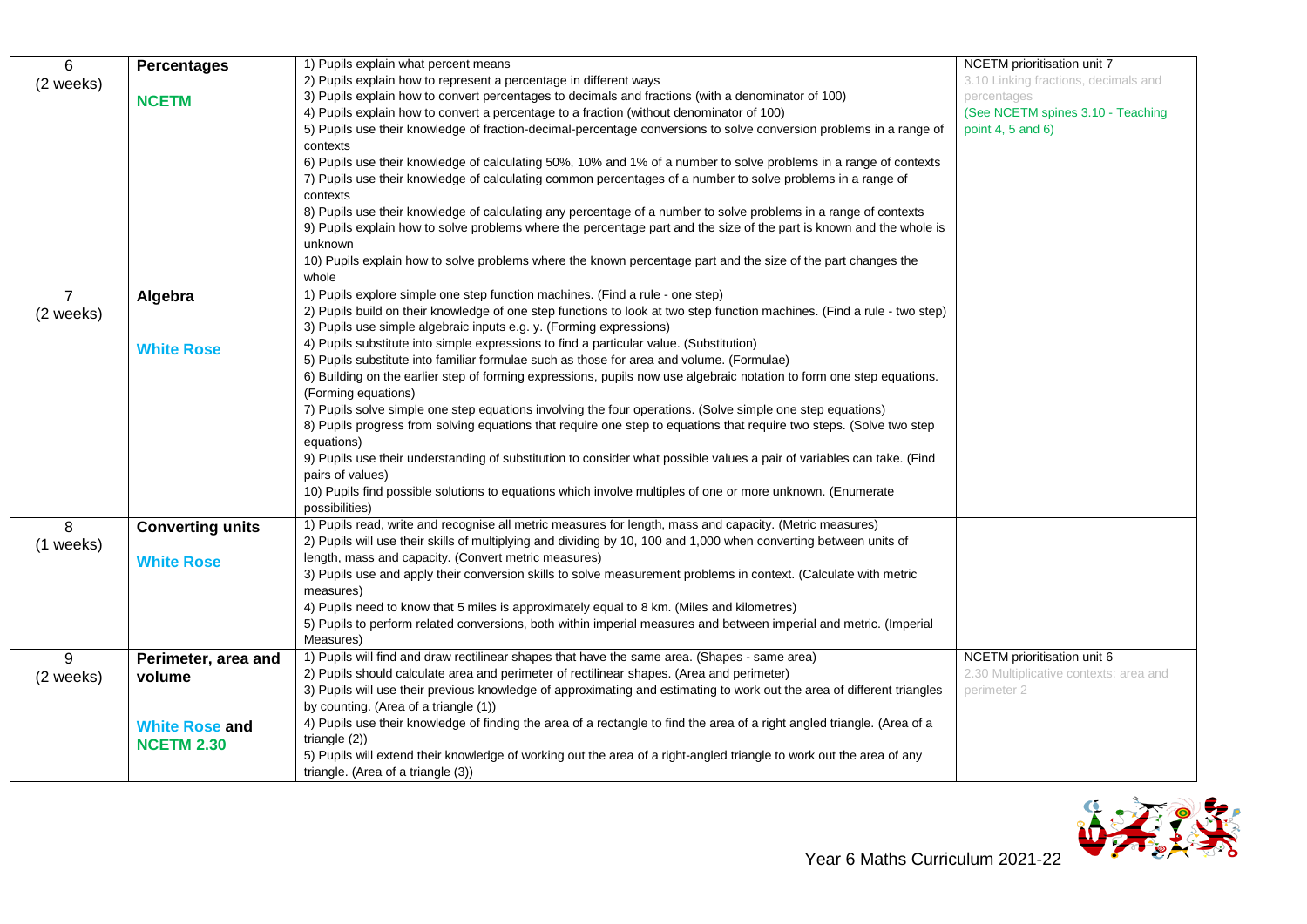| 6              | <b>Percentages</b>      | 1) Pupils explain what percent means                                                                                           | NCETM prioritisation unit 7            |
|----------------|-------------------------|--------------------------------------------------------------------------------------------------------------------------------|----------------------------------------|
| (2 weeks)      |                         | 2) Pupils explain how to represent a percentage in different ways                                                              | 3.10 Linking fractions, decimals and   |
|                | <b>NCETM</b>            | 3) Pupils explain how to convert percentages to decimals and fractions (with a denominator of 100)                             | percentages                            |
|                |                         | 4) Pupils explain how to convert a percentage to a fraction (without denominator of 100)                                       | (See NCETM spines 3.10 - Teaching      |
|                |                         | 5) Pupils use their knowledge of fraction-decimal-percentage conversions to solve conversion problems in a range of            | point 4, 5 and $6$ )                   |
|                |                         | contexts                                                                                                                       |                                        |
|                |                         | 6) Pupils use their knowledge of calculating 50%, 10% and 1% of a number to solve problems in a range of contexts              |                                        |
|                |                         | 7) Pupils use their knowledge of calculating common percentages of a number to solve problems in a range of                    |                                        |
|                |                         | contexts                                                                                                                       |                                        |
|                |                         | 8) Pupils use their knowledge of calculating any percentage of a number to solve problems in a range of contexts               |                                        |
|                |                         | 9) Pupils explain how to solve problems where the percentage part and the size of the part is known and the whole is           |                                        |
|                |                         | unknown                                                                                                                        |                                        |
|                |                         | 10) Pupils explain how to solve problems where the known percentage part and the size of the part changes the                  |                                        |
|                |                         | whole                                                                                                                          |                                        |
| $\overline{7}$ | Algebra                 | 1) Pupils explore simple one step function machines. (Find a rule - one step)                                                  |                                        |
| (2 weeks)      |                         | 2) Pupils build on their knowledge of one step functions to look at two step function machines. (Find a rule - two step)       |                                        |
|                |                         | 3) Pupils use simple algebraic inputs e.g. y. (Forming expressions)                                                            |                                        |
|                | <b>White Rose</b>       | 4) Pupils substitute into simple expressions to find a particular value. (Substitution)                                        |                                        |
|                |                         | 5) Pupils substitute into familiar formulae such as those for area and volume. (Formulae)                                      |                                        |
|                |                         | 6) Building on the earlier step of forming expressions, pupils now use algebraic notation to form one step equations.          |                                        |
|                |                         | (Forming equations)                                                                                                            |                                        |
|                |                         | 7) Pupils solve simple one step equations involving the four operations. (Solve simple one step equations)                     |                                        |
|                |                         | 8) Pupils progress from solving equations that require one step to equations that require two steps. (Solve two step           |                                        |
|                |                         | equations)                                                                                                                     |                                        |
|                |                         | 9) Pupils use their understanding of substitution to consider what possible values a pair of variables can take. (Find         |                                        |
|                |                         | pairs of values)<br>10) Pupils find possible solutions to equations which involve multiples of one or more unknown. (Enumerate |                                        |
|                |                         | possibilities)                                                                                                                 |                                        |
| 8              |                         | 1) Pupils read, write and recognise all metric measures for length, mass and capacity. (Metric measures)                       |                                        |
|                | <b>Converting units</b> | 2) Pupils will use their skills of multiplying and dividing by 10, 100 and 1,000 when converting between units of              |                                        |
| (1 weeks)      |                         | length, mass and capacity. (Convert metric measures)                                                                           |                                        |
|                | <b>White Rose</b>       | 3) Pupils use and apply their conversion skills to solve measurement problems in context. (Calculate with metric               |                                        |
|                |                         | measures)                                                                                                                      |                                        |
|                |                         | 4) Pupils need to know that 5 miles is approximately equal to 8 km. (Miles and kilometres)                                     |                                        |
|                |                         | 5) Pupils to perform related conversions, both within imperial measures and between imperial and metric. (Imperial             |                                        |
|                |                         | Measures)                                                                                                                      |                                        |
| 9              | Perimeter, area and     | 1) Pupils will find and draw rectilinear shapes that have the same area. (Shapes - same area)                                  | NCETM prioritisation unit 6            |
| (2 weeks)      | volume                  | 2) Pupils should calculate area and perimeter of rectilinear shapes. (Area and perimeter)                                      | 2.30 Multiplicative contexts: area and |
|                |                         | 3) Pupils will use their previous knowledge of approximating and estimating to work out the area of different triangles        | perimeter 2                            |
|                |                         | by counting. (Area of a triangle (1))                                                                                          |                                        |
|                | <b>White Rose and</b>   | 4) Pupils use their knowledge of finding the area of a rectangle to find the area of a right angled triangle. (Area of a       |                                        |
|                | <b>NCETM 2.30</b>       | triangle $(2)$ )                                                                                                               |                                        |
|                |                         | 5) Pupils will extend their knowledge of working out the area of a right-angled triangle to work out the area of any           |                                        |
|                |                         | triangle. (Area of a triangle (3))                                                                                             |                                        |

 $\mathsf{L}$ 

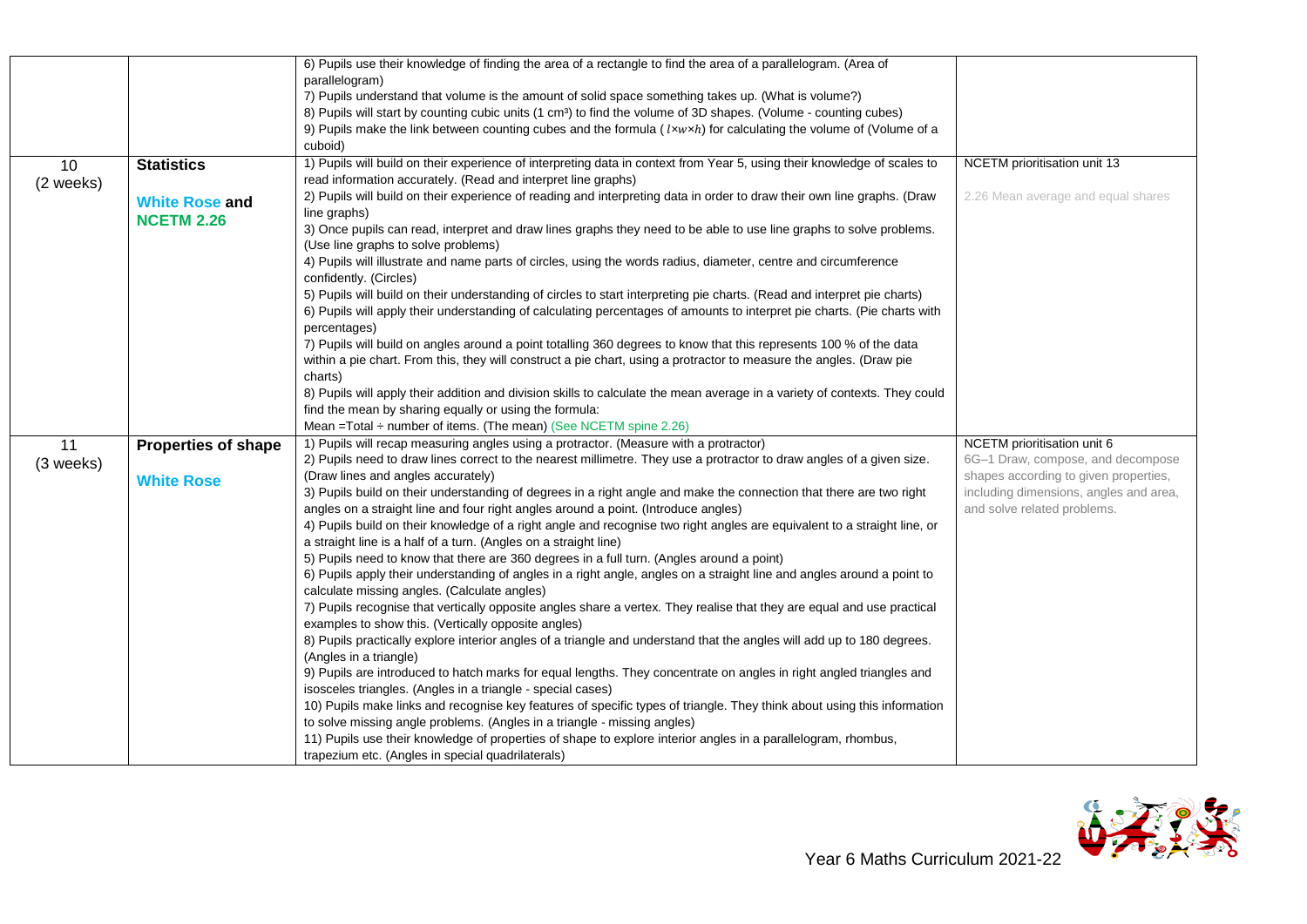|           |                                            | 6) Pupils use their knowledge of finding the area of a rectangle to find the area of a parallelogram. (Area of<br>parallelogram)<br>7) Pupils understand that volume is the amount of solid space something takes up. (What is volume?)<br>8) Pupils will start by counting cubic units (1 cm <sup>3</sup> ) to find the volume of 3D shapes. (Volume - counting cubes)<br>9) Pupils make the link between counting cubes and the formula ( $lxwxh$ ) for calculating the volume of (Volume of a |                                                                  |
|-----------|--------------------------------------------|--------------------------------------------------------------------------------------------------------------------------------------------------------------------------------------------------------------------------------------------------------------------------------------------------------------------------------------------------------------------------------------------------------------------------------------------------------------------------------------------------|------------------------------------------------------------------|
|           |                                            | cuboid)<br>1) Pupils will build on their experience of interpreting data in context from Year 5, using their knowledge of scales to                                                                                                                                                                                                                                                                                                                                                              | NCETM prioritisation unit 13                                     |
| 10        | <b>Statistics</b>                          | read information accurately. (Read and interpret line graphs)                                                                                                                                                                                                                                                                                                                                                                                                                                    |                                                                  |
| (2 weeks) | <b>White Rose and</b><br><b>NCETM 2.26</b> | 2) Pupils will build on their experience of reading and interpreting data in order to draw their own line graphs. (Draw<br>line graphs)                                                                                                                                                                                                                                                                                                                                                          | 2.26 Mean average and equal shares                               |
|           |                                            | 3) Once pupils can read, interpret and draw lines graphs they need to be able to use line graphs to solve problems.<br>(Use line graphs to solve problems)                                                                                                                                                                                                                                                                                                                                       |                                                                  |
|           |                                            | 4) Pupils will illustrate and name parts of circles, using the words radius, diameter, centre and circumference<br>confidently. (Circles)                                                                                                                                                                                                                                                                                                                                                        |                                                                  |
|           |                                            | 5) Pupils will build on their understanding of circles to start interpreting pie charts. (Read and interpret pie charts)<br>6) Pupils will apply their understanding of calculating percentages of amounts to interpret pie charts. (Pie charts with<br>percentages)                                                                                                                                                                                                                             |                                                                  |
|           |                                            | 7) Pupils will build on angles around a point totalling 360 degrees to know that this represents 100 % of the data<br>within a pie chart. From this, they will construct a pie chart, using a protractor to measure the angles. (Draw pie                                                                                                                                                                                                                                                        |                                                                  |
|           |                                            | charts)                                                                                                                                                                                                                                                                                                                                                                                                                                                                                          |                                                                  |
|           |                                            | 8) Pupils will apply their addition and division skills to calculate the mean average in a variety of contexts. They could                                                                                                                                                                                                                                                                                                                                                                       |                                                                  |
|           |                                            | find the mean by sharing equally or using the formula:                                                                                                                                                                                                                                                                                                                                                                                                                                           |                                                                  |
|           |                                            | Mean = Total $\div$ number of items. (The mean) (See NCETM spine 2.26)                                                                                                                                                                                                                                                                                                                                                                                                                           |                                                                  |
| 11        | <b>Properties of shape</b>                 | 1) Pupils will recap measuring angles using a protractor. (Measure with a protractor)<br>2) Pupils need to draw lines correct to the nearest millimetre. They use a protractor to draw angles of a given size.                                                                                                                                                                                                                                                                                   | NCETM prioritisation unit 6<br>6G-1 Draw, compose, and decompose |
| (3 weeks) |                                            | (Draw lines and angles accurately)                                                                                                                                                                                                                                                                                                                                                                                                                                                               | shapes according to given properties,                            |
|           | <b>White Rose</b>                          | 3) Pupils build on their understanding of degrees in a right angle and make the connection that there are two right                                                                                                                                                                                                                                                                                                                                                                              | including dimensions, angles and area,                           |
|           |                                            | angles on a straight line and four right angles around a point. (Introduce angles)                                                                                                                                                                                                                                                                                                                                                                                                               | and solve related problems.                                      |
|           |                                            | 4) Pupils build on their knowledge of a right angle and recognise two right angles are equivalent to a straight line, or                                                                                                                                                                                                                                                                                                                                                                         |                                                                  |
|           |                                            | a straight line is a half of a turn. (Angles on a straight line)                                                                                                                                                                                                                                                                                                                                                                                                                                 |                                                                  |
|           |                                            | 5) Pupils need to know that there are 360 degrees in a full turn. (Angles around a point)                                                                                                                                                                                                                                                                                                                                                                                                        |                                                                  |
|           |                                            | 6) Pupils apply their understanding of angles in a right angle, angles on a straight line and angles around a point to                                                                                                                                                                                                                                                                                                                                                                           |                                                                  |
|           |                                            | calculate missing angles. (Calculate angles)                                                                                                                                                                                                                                                                                                                                                                                                                                                     |                                                                  |
|           |                                            | 7) Pupils recognise that vertically opposite angles share a vertex. They realise that they are equal and use practical                                                                                                                                                                                                                                                                                                                                                                           |                                                                  |
|           |                                            | examples to show this. (Vertically opposite angles)                                                                                                                                                                                                                                                                                                                                                                                                                                              |                                                                  |
|           |                                            | 8) Pupils practically explore interior angles of a triangle and understand that the angles will add up to 180 degrees.                                                                                                                                                                                                                                                                                                                                                                           |                                                                  |
|           |                                            | (Angles in a triangle)                                                                                                                                                                                                                                                                                                                                                                                                                                                                           |                                                                  |
|           |                                            | 9) Pupils are introduced to hatch marks for equal lengths. They concentrate on angles in right angled triangles and                                                                                                                                                                                                                                                                                                                                                                              |                                                                  |
|           |                                            | isosceles triangles. (Angles in a triangle - special cases)                                                                                                                                                                                                                                                                                                                                                                                                                                      |                                                                  |
|           |                                            | 10) Pupils make links and recognise key features of specific types of triangle. They think about using this information                                                                                                                                                                                                                                                                                                                                                                          |                                                                  |
|           |                                            | to solve missing angle problems. (Angles in a triangle - missing angles)                                                                                                                                                                                                                                                                                                                                                                                                                         |                                                                  |
|           |                                            | 11) Pupils use their knowledge of properties of shape to explore interior angles in a parallelogram, rhombus,<br>trapezium etc. (Angles in special quadrilaterals)                                                                                                                                                                                                                                                                                                                               |                                                                  |

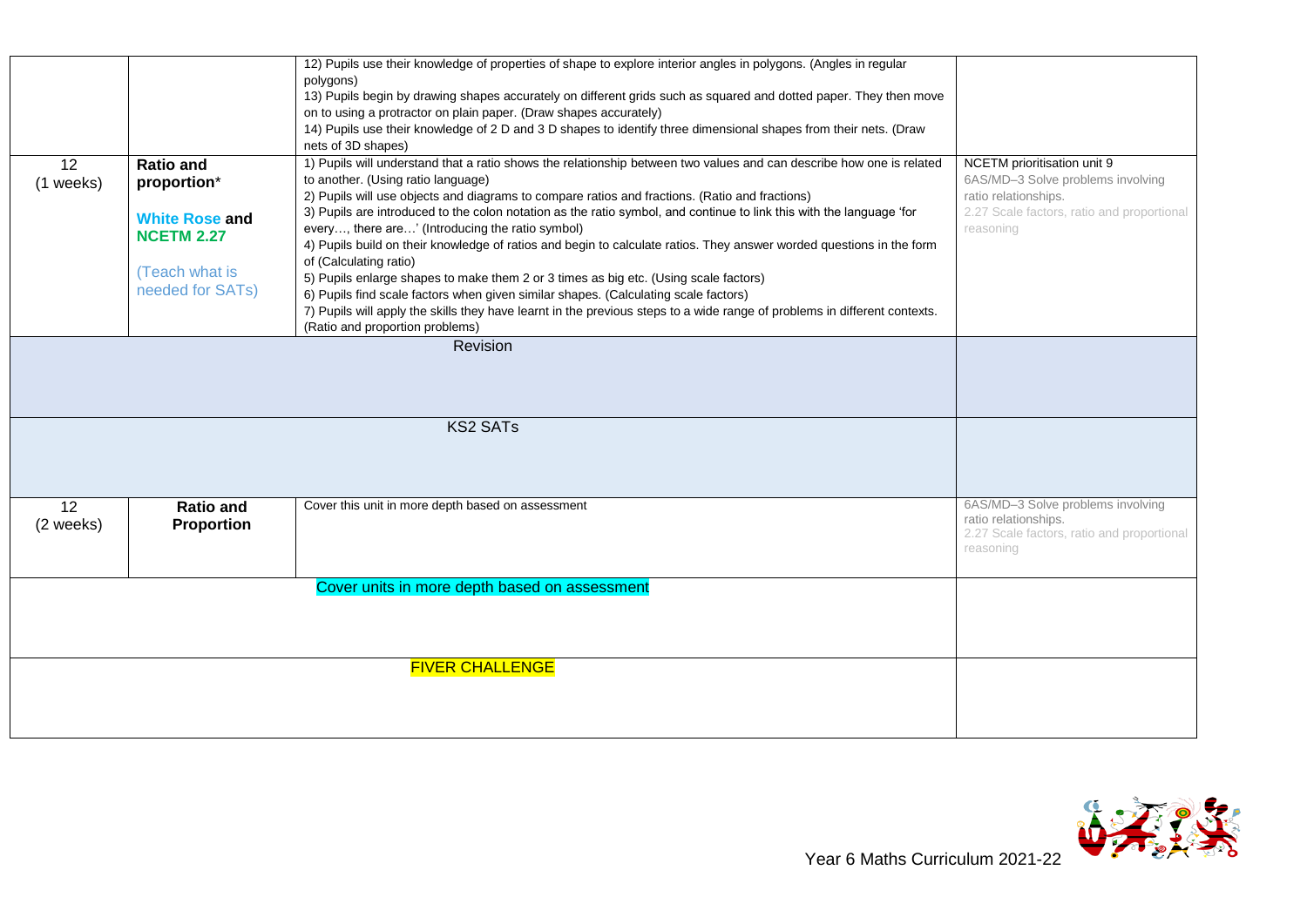|                 |                                                                                                                     | 12) Pupils use their knowledge of properties of shape to explore interior angles in polygons. (Angles in regular<br>polygons)<br>13) Pupils begin by drawing shapes accurately on different grids such as squared and dotted paper. They then move<br>on to using a protractor on plain paper. (Draw shapes accurately)<br>14) Pupils use their knowledge of 2 D and 3 D shapes to identify three dimensional shapes from their nets. (Draw<br>nets of 3D shapes)                                                                                                                                                                                                                                                                                                                                                                                                                                                                                            |                                                                                                                                                     |
|-----------------|---------------------------------------------------------------------------------------------------------------------|--------------------------------------------------------------------------------------------------------------------------------------------------------------------------------------------------------------------------------------------------------------------------------------------------------------------------------------------------------------------------------------------------------------------------------------------------------------------------------------------------------------------------------------------------------------------------------------------------------------------------------------------------------------------------------------------------------------------------------------------------------------------------------------------------------------------------------------------------------------------------------------------------------------------------------------------------------------|-----------------------------------------------------------------------------------------------------------------------------------------------------|
| 12<br>(1 weeks) | <b>Ratio and</b><br>proportion*<br><b>White Rose and</b><br><b>NCETM 2.27</b><br>(Teach what is<br>needed for SATs) | 1) Pupils will understand that a ratio shows the relationship between two values and can describe how one is related<br>to another. (Using ratio language)<br>2) Pupils will use objects and diagrams to compare ratios and fractions. (Ratio and fractions)<br>3) Pupils are introduced to the colon notation as the ratio symbol, and continue to link this with the language 'for<br>every, there are' (Introducing the ratio symbol)<br>4) Pupils build on their knowledge of ratios and begin to calculate ratios. They answer worded questions in the form<br>of (Calculating ratio)<br>5) Pupils enlarge shapes to make them 2 or 3 times as big etc. (Using scale factors)<br>6) Pupils find scale factors when given similar shapes. (Calculating scale factors)<br>7) Pupils will apply the skills they have learnt in the previous steps to a wide range of problems in different contexts.<br>(Ratio and proportion problems)<br><b>Revision</b> | NCETM prioritisation unit 9<br>6AS/MD-3 Solve problems involving<br>ratio relationships.<br>2.27 Scale factors, ratio and proportional<br>reasoning |
|                 |                                                                                                                     |                                                                                                                                                                                                                                                                                                                                                                                                                                                                                                                                                                                                                                                                                                                                                                                                                                                                                                                                                              |                                                                                                                                                     |
|                 |                                                                                                                     | <b>KS2 SATs</b>                                                                                                                                                                                                                                                                                                                                                                                                                                                                                                                                                                                                                                                                                                                                                                                                                                                                                                                                              |                                                                                                                                                     |
| 12<br>(2 weeks) | <b>Ratio and</b><br><b>Proportion</b>                                                                               | Cover this unit in more depth based on assessment                                                                                                                                                                                                                                                                                                                                                                                                                                                                                                                                                                                                                                                                                                                                                                                                                                                                                                            | 6AS/MD-3 Solve problems involving<br>ratio relationships.<br>2.27 Scale factors, ratio and proportional<br>reasoning                                |
|                 |                                                                                                                     | Cover units in more depth based on assessment                                                                                                                                                                                                                                                                                                                                                                                                                                                                                                                                                                                                                                                                                                                                                                                                                                                                                                                |                                                                                                                                                     |
|                 |                                                                                                                     | <b>FIVER CHALLENGE</b>                                                                                                                                                                                                                                                                                                                                                                                                                                                                                                                                                                                                                                                                                                                                                                                                                                                                                                                                       |                                                                                                                                                     |